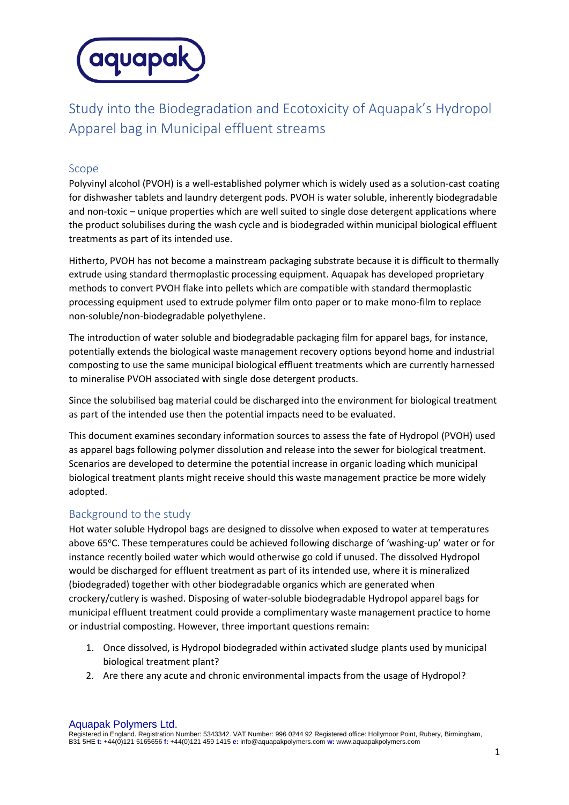

Study into the Biodegradation and Ecotoxicity of Aquapak's Hydropol Apparel bag in Municipal effluent streams

## Scope

Polyvinyl alcohol (PVOH) is a well-established polymer which is widely used as a solution-cast coating for dishwasher tablets and laundry detergent pods. PVOH is water soluble, inherently biodegradable and non-toxic – unique properties which are well suited to single dose detergent applications where the product solubilises during the wash cycle and is biodegraded within municipal biological effluent treatments as part of its intended use.

Hitherto, PVOH has not become a mainstream packaging substrate because it is difficult to thermally extrude using standard thermoplastic processing equipment. Aquapak has developed proprietary methods to convert PVOH flake into pellets which are compatible with standard thermoplastic processing equipment used to extrude polymer film onto paper or to make mono-film to replace non-soluble/non-biodegradable polyethylene.

The introduction of water soluble and biodegradable packaging film for apparel bags, for instance, potentially extends the biological waste management recovery options beyond home and industrial composting to use the same municipal biological effluent treatments which are currently harnessed to mineralise PVOH associated with single dose detergent products.

Since the solubilised bag material could be discharged into the environment for biological treatment as part of the intended use then the potential impacts need to be evaluated.

This document examines secondary information sources to assess the fate of Hydropol (PVOH) used as apparel bags following polymer dissolution and release into the sewer for biological treatment. Scenarios are developed to determine the potential increase in organic loading which municipal biological treatment plants might receive should this waste management practice be more widely adopted.

### Background to the study

Hot water soluble Hydropol bags are designed to dissolve when exposed to water at temperatures above 65°C. These temperatures could be achieved following discharge of 'washing-up' water or for instance recently boiled water which would otherwise go cold if unused. The dissolved Hydropol would be discharged for effluent treatment as part of its intended use, where it is mineralized (biodegraded) together with other biodegradable organics which are generated when crockery/cutlery is washed. Disposing of water-soluble biodegradable Hydropol apparel bags for municipal effluent treatment could provide a complimentary waste management practice to home or industrial composting. However, three important questions remain:

- 1. Once dissolved, is Hydropol biodegraded within activated sludge plants used by municipal biological treatment plant?
- 2. Are there any acute and chronic environmental impacts from the usage of Hydropol?

Aquapak Polymers Ltd.

Registered in England. Registration Number: 5343342. VAT Number: 996 0244 92 Registered office: Hollymoor Point, Rubery, Birmingham, B31 5HE **t:** +44(0)121 5165656 **f:** +44(0)121 459 1415 **e:** info@aquapakpolymers.com **w:** www.aquapakpolymers.com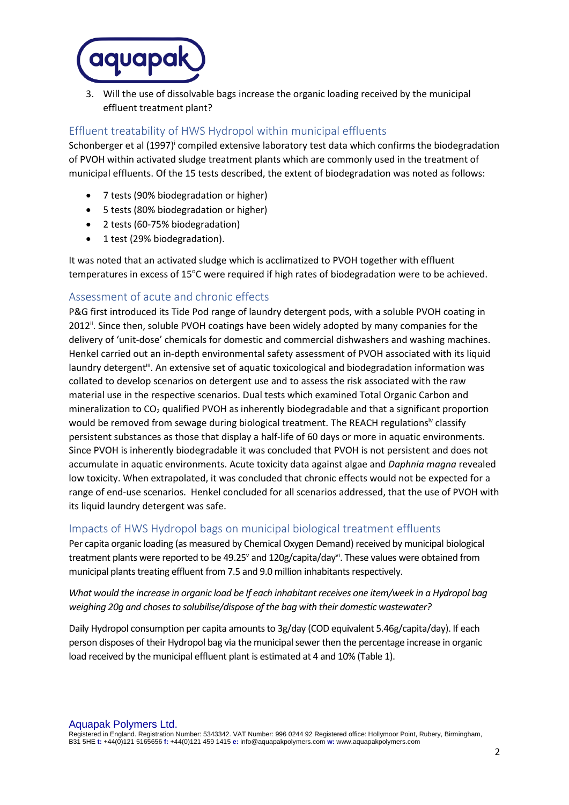

3. Will the use of dissolvable bags increase the organic loading received by the municipal effluent treatment plant?

# Effluent treatability of HWS Hydropol within municipal effluents

Schonberger et al (1997)<sup>i</sup> compiled extensive laboratory test data which confirms the biodegradation of PVOH within activated sludge treatment plants which are commonly used in the treatment of municipal effluents. Of the 15 tests described, the extent of biodegradation was noted as follows:

- 7 tests (90% biodegradation or higher)
- 5 tests (80% biodegradation or higher)
- 2 tests (60-75% biodegradation)
- 1 test (29% biodegradation).

It was noted that an activated sludge which is acclimatized to PVOH together with effluent temperatures in excess of 15°C were required if high rates of biodegradation were to be achieved.

## Assessment of acute and chronic effects

P&G first introduced its Tide Pod range of laundry detergent pods, with a soluble PVOH coating in 2012<sup>"</sup>. Since then, soluble PVOH coatings have been widely adopted by many companies for the delivery of 'unit-dose' chemicals for domestic and commercial dishwashers and washing machines. Henkel carried out an in-depth environmental safety assessment of PVOH associated with its liquid laundry detergent<sup>iii</sup>. An extensive set of aquatic toxicological and biodegradation information was collated to develop scenarios on detergent use and to assess the risk associated with the raw material use in the respective scenarios. Dual tests which examined Total Organic Carbon and mineralization to CO<sup>2</sup> qualified PVOH as inherently biodegradable and that a significant proportion would be removed from sewage during biological treatment. The REACH regulationsiv classify persistent substances as those that display a half-life of 60 days or more in aquatic environments. Since PVOH is inherently biodegradable it was concluded that PVOH is not persistent and does not accumulate in aquatic environments. Acute toxicity data against algae and *Daphnia magna* revealed low toxicity. When extrapolated, it was concluded that chronic effects would not be expected for a range of end-use scenarios. Henkel concluded for all scenarios addressed, that the use of PVOH with its liquid laundry detergent was safe.

### Impacts of HWS Hydropol bags on municipal biological treatment effluents

Per capita organic loading (as measured by Chemical Oxygen Demand) received by municipal biological treatment plants were reported to be 49.25<sup>v</sup> and 120g/capita/day<sup>vi</sup>. These values were obtained from municipal plants treating effluent from 7.5 and 9.0 million inhabitants respectively.

## *What would the increase in organic load be If each inhabitant receives one item/week in a Hydropol bag weighing 20g and choses to solubilise/dispose of the bag with their domestic wastewater?*

Daily Hydropol consumption per capita amounts to 3g/day (COD equivalent 5.46g/capita/day). If each person disposes of their Hydropol bag via the municipal sewer then the percentage increase in organic load received by the municipal effluent plant is estimated at 4 and 10% (Table 1).

Aquapak Polymers Ltd. Registered in England. Registration Number: 5343342. VAT Number: 996 0244 92 Registered office: Hollymoor Point, Rubery, Birmingham, B31 5HE **t:** +44(0)121 5165656 **f:** +44(0)121 459 1415 **e:** info@aquapakpolymers.com **w:** www.aquapakpolymers.com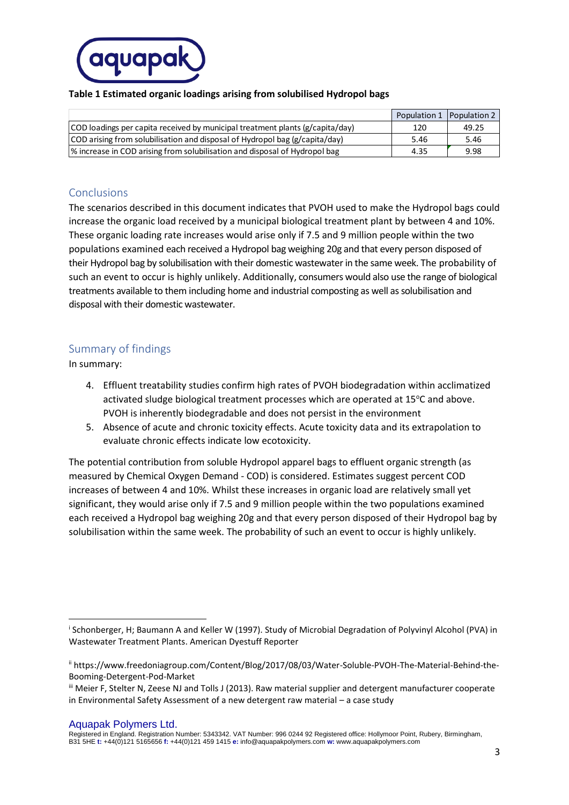

#### **Table 1 Estimated organic loadings arising from solubilised Hydropol bags**

|                                                                                       | Population 1   Population 2 |       |
|---------------------------------------------------------------------------------------|-----------------------------|-------|
| $\vert$ COD loadings per capita received by municipal treatment plants (g/capita/day) | 120                         | 49.25 |
| COD arising from solubilisation and disposal of Hydropol bag (g/capita/day)           | 5.46                        | 5.46  |
| % increase in COD arising from solubilisation and disposal of Hydropol bag            | 4.35                        | 9.98  |

## Conclusions

The scenarios described in this document indicates that PVOH used to make the Hydropol bags could increase the organic load received by a municipal biological treatment plant by between 4 and 10%. These organic loading rate increases would arise only if 7.5 and 9 million people within the two populations examined each received a Hydropol bag weighing 20g and that every person disposed of their Hydropol bag by solubilisation with their domestic wastewater in the same week. The probability of such an event to occur is highly unlikely. Additionally, consumers would also use the range of biological treatments available to them including home and industrial composting as well as solubilisation and disposal with their domestic wastewater.

## Summary of findings

In summary:

- 4. Effluent treatability studies confirm high rates of PVOH biodegradation within acclimatized activated sludge biological treatment processes which are operated at 15°C and above. PVOH is inherently biodegradable and does not persist in the environment
- 5. Absence of acute and chronic toxicity effects. Acute toxicity data and its extrapolation to evaluate chronic effects indicate low ecotoxicity.

The potential contribution from soluble Hydropol apparel bags to effluent organic strength (as measured by Chemical Oxygen Demand - COD) is considered. Estimates suggest percent COD increases of between 4 and 10%. Whilst these increases in organic load are relatively small yet significant, they would arise only if 7.5 and 9 million people within the two populations examined each received a Hydropol bag weighing 20g and that every person disposed of their Hydropol bag by solubilisation within the same week. The probability of such an event to occur is highly unlikely.

Aquapak Polymers Ltd.

Registered in England. Registration Number: 5343342. VAT Number: 996 0244 92 Registered office: Hollymoor Point, Rubery, Birmingham, B31 5HE **t:** +44(0)121 5165656 **f:** +44(0)121 459 1415 **e:** info@aquapakpolymers.com **w:** www.aquapakpolymers.com

i Schonberger, H; Baumann A and Keller W (1997). Study of Microbial Degradation of Polyvinyl Alcohol (PVA) in Wastewater Treatment Plants. American Dyestuff Reporter

ii https://www.freedoniagroup.com/Content/Blog/2017/08/03/Water-Soluble-PVOH-The-Material-Behind-the-Booming-Detergent-Pod-Market

iii Meier F, Stelter N, Zeese NJ and Tolls J (2013). Raw material supplier and detergent manufacturer cooperate in Environmental Safety Assessment of a new detergent raw material – a case study